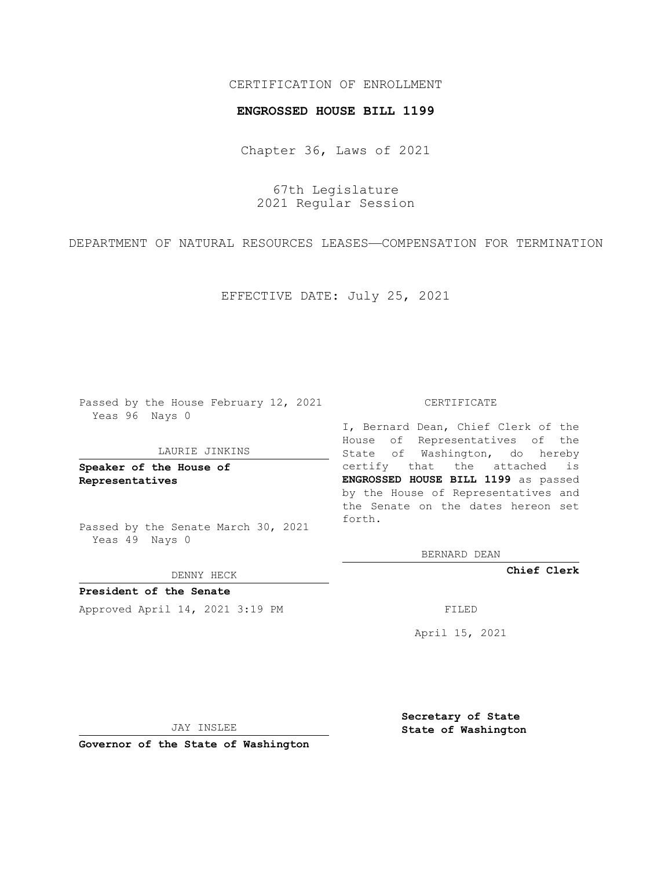# CERTIFICATION OF ENROLLMENT

### **ENGROSSED HOUSE BILL 1199**

Chapter 36, Laws of 2021

67th Legislature 2021 Regular Session

DEPARTMENT OF NATURAL RESOURCES LEASES—COMPENSATION FOR TERMINATION

EFFECTIVE DATE: July 25, 2021

Passed by the House February 12, 2021 Yeas 96 Nays 0

### LAURIE JINKINS

**Speaker of the House of Representatives**

Passed by the Senate March 30, 2021 Yeas 49 Nays 0

DENNY HECK

**President of the Senate** Approved April 14, 2021 3:19 PM FILED

#### CERTIFICATE

I, Bernard Dean, Chief Clerk of the House of Representatives of the State of Washington, do hereby certify that the attached is **ENGROSSED HOUSE BILL 1199** as passed by the House of Representatives and the Senate on the dates hereon set forth.

BERNARD DEAN

**Chief Clerk**

April 15, 2021

JAY INSLEE

**Governor of the State of Washington**

**Secretary of State State of Washington**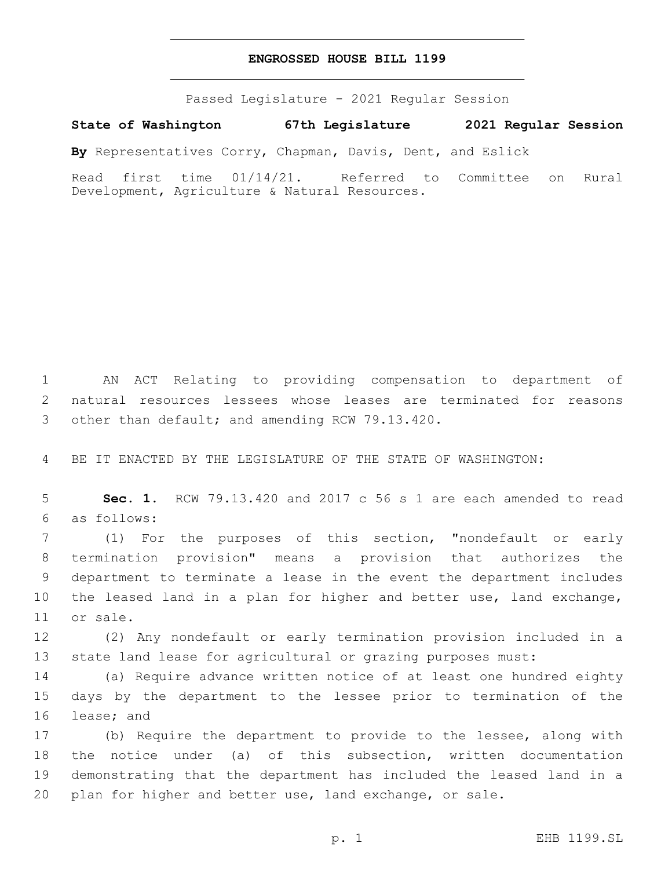# **ENGROSSED HOUSE BILL 1199**

Passed Legislature - 2021 Regular Session

**State of Washington 67th Legislature 2021 Regular Session**

**By** Representatives Corry, Chapman, Davis, Dent, and Eslick

Read first time 01/14/21. Referred to Committee on Rural Development, Agriculture & Natural Resources.

1 AN ACT Relating to providing compensation to department of 2 natural resources lessees whose leases are terminated for reasons 3 other than default; and amending RCW 79.13.420.

4 BE IT ENACTED BY THE LEGISLATURE OF THE STATE OF WASHINGTON:

5 **Sec. 1.** RCW 79.13.420 and 2017 c 56 s 1 are each amended to read as follows:6

 (1) For the purposes of this section, "nondefault or early termination provision" means a provision that authorizes the department to terminate a lease in the event the department includes the leased land in a plan for higher and better use, land exchange, 11 or sale.

12 (2) Any nondefault or early termination provision included in a 13 state land lease for agricultural or grazing purposes must:

14 (a) Require advance written notice of at least one hundred eighty 15 days by the department to the lessee prior to termination of the 16 lease; and

 (b) Require the department to provide to the lessee, along with the notice under (a) of this subsection, written documentation demonstrating that the department has included the leased land in a plan for higher and better use, land exchange, or sale.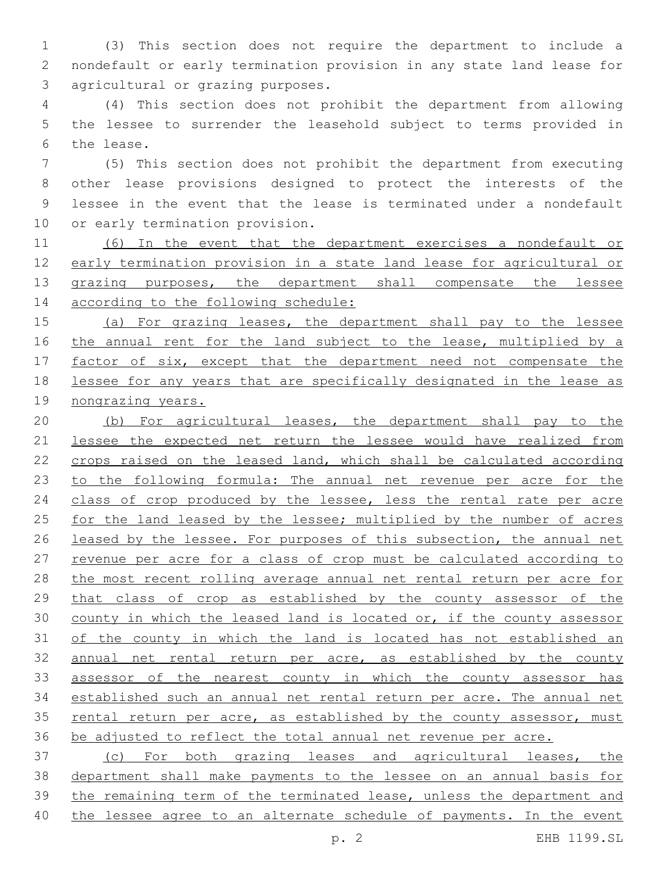(3) This section does not require the department to include a nondefault or early termination provision in any state land lease for 3 agricultural or grazing purposes.

 (4) This section does not prohibit the department from allowing the lessee to surrender the leasehold subject to terms provided in 6 the lease.

 (5) This section does not prohibit the department from executing other lease provisions designed to protect the interests of the lessee in the event that the lease is terminated under a nondefault 10 or early termination provision.

 (6) In the event that the department exercises a nondefault or early termination provision in a state land lease for agricultural or 13 grazing purposes, the department shall compensate the lessee 14 according to the following schedule:

 (a) For grazing leases, the department shall pay to the lessee 16 the annual rent for the land subject to the lease, multiplied by a 17 factor of six, except that the department need not compensate the lessee for any years that are specifically designated in the lease as 19 nongrazing years.

 (b) For agricultural leases, the department shall pay to the lessee the expected net return the lessee would have realized from 22 crops raised on the leased land, which shall be calculated according 23 to the following formula: The annual net revenue per acre for the 24 class of crop produced by the lessee, less the rental rate per acre 25 for the land leased by the lessee; multiplied by the number of acres leased by the lessee. For purposes of this subsection, the annual net revenue per acre for a class of crop must be calculated according to the most recent rolling average annual net rental return per acre for 29 that class of crop as established by the county assessor of the county in which the leased land is located or, if the county assessor of the county in which the land is located has not established an annual net rental return per acre, as established by the county assessor of the nearest county in which the county assessor has established such an annual net rental return per acre. The annual net 35 rental return per acre, as established by the county assessor, must be adjusted to reflect the total annual net revenue per acre.

 (c) For both grazing leases and agricultural leases, the department shall make payments to the lessee on an annual basis for the remaining term of the terminated lease, unless the department and the lessee agree to an alternate schedule of payments. In the event

p. 2 EHB 1199.SL